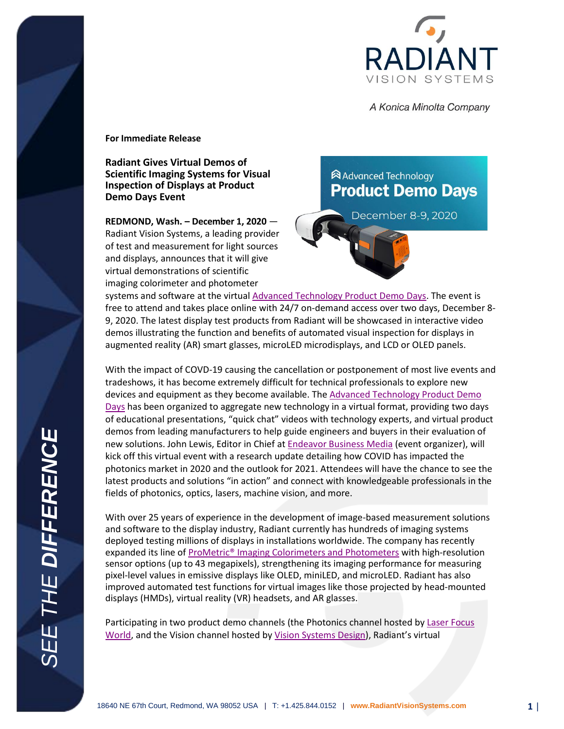

A Konica Minolta Company

**For Immediate Release**

**Radiant Gives Virtual Demos of Scientific Imaging Systems for Visual Inspection of Displays at Product Demo Days Event**

**REDMOND, Wash. – December 1, 2020** — Radiant Vision Systems, a leading provider of test and measurement for light sources and displays, announces that it will give virtual demonstrations of scientific imaging colorimeter and photometer

## **Advanced Technology Product Demo Days**

December 8-9, 2020

systems and software at the virtual [Advanced Technology Product Demo Days.](https://unbounce.endeavorb2b.com/product-demo-days/) The event is free to attend and takes place online with 24/7 on-demand access over two days, December 8- 9, 2020. The latest display test products from Radiant will be showcased in interactive video demos illustrating the function and benefits of automated visual inspection for displays in augmented reality (AR) smart glasses, microLED microdisplays, and LCD or OLED panels.

With the impact of COVD-19 causing the cancellation or postponement of most live events and tradeshows, it has become extremely difficult for technical professionals to explore new devices and equipment as they become available. The [Advanced Technology Product Demo](https://unbounce.endeavorb2b.com/product-demo-days/)  [Days](https://unbounce.endeavorb2b.com/product-demo-days/) has been organized to aggregate new technology in a virtual format, providing two days of educational presentations, "quick chat" videos with technology experts, and virtual product demos from leading manufacturers to help guide engineers and buyers in their evaluation of new solutions. John Lewis, Editor in Chief at [Endeavor Business Media](https://www.endeavorbusinessmedia.com/) (event organizer), will kick off this virtual event with a research update detailing how COVID has impacted the photonics market in 2020 and the outlook for 2021. Attendees will have the chance to see the latest products and solutions "in action" and connect with knowledgeable professionals in the fields of photonics, optics, lasers, machine vision, and more.

With over 25 years of experience in the development of image-based measurement solutions and software to the display industry, Radiant currently has hundreds of imaging systems deployed testing millions of displays in installations worldwide. The company has recently expanded its line of [ProMetric® Imaging Colorimeters and Photometers](https://www.radiantvisionsystems.com/products/imaging-colorimeters-photometers?utm_campaign=lfw-demo-days2020&utm_source=pr&utm_medium=pr) with high-resolution sensor options (up to 43 megapixels), strengthening its imaging performance for measuring pixel-level values in emissive displays like OLED, miniLED, and microLED. Radiant has also improved automated test functions for virtual images like those projected by head-mounted displays (HMDs), virtual reality (VR) headsets, and AR glasses.

Participating in two product demo channels (the Photonics channel hosted by Laser Focus [World,](https://www.laserfocusworld.com/) and the Vision channel hosted by [Vision Systems Design\)](http://vision-systems.com/), Radiant's virtual